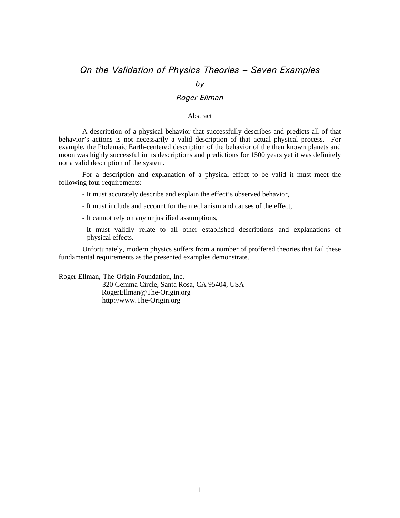# *On the Validation of Physics Theories – Seven Examples*

## *by*

### *Roger Ellman*

#### Abstract

 A description of a physical behavior that successfully describes and predicts all of that behavior's actions is not necessarily a valid description of that actual physical process. For example, the Ptolemaic Earth-centered description of the behavior of the then known planets and moon was highly successful in its descriptions and predictions for 1500 years yet it was definitely not a valid description of the system.

 For a description and explanation of a physical effect to be valid it must meet the following four requirements:

- It must accurately describe and explain the effect's observed behavior,

- It must include and account for the mechanism and causes of the effect,
- It cannot rely on any unjustified assumptions,
- It must validly relate to all other established descriptions and explanations of physical effects.

 Unfortunately, modern physics suffers from a number of proffered theories that fail these fundamental requirements as the presented examples demonstrate.

Roger Ellman, The-Origin Foundation, Inc.

 320 Gemma Circle, Santa Rosa, CA 95404, USA RogerEllman@The-Origin.org http://www.The-Origin.org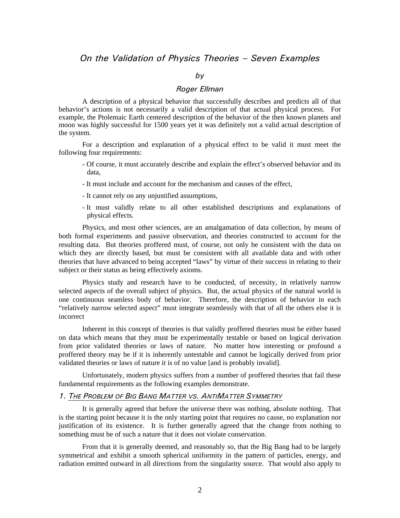# *On the Validation of Physics Theories – Seven Examples*

## *by*

### *Roger Ellman*

 A description of a physical behavior that successfully describes and predicts all of that behavior's actions is not necessarily a valid description of that actual physical process. For example, the Ptolemaic Earth centered description of the behavior of the then known planets and moon was highly successful for 1500 years yet it was definitely not a valid actual description of the system.

 For a description and explanation of a physical effect to be valid it must meet the following four requirements:

- Of course, it must accurately describe and explain the effect's observed behavior and its data,
- It must include and account for the mechanism and causes of the effect,
- It cannot rely on any unjustified assumptions,
- It must validly relate to all other established descriptions and explanations of physical effects.

 Physics, and most other sciences, are an amalgamation of data collection, by means of both formal experiments and passive observation, and theories constructed to account for the resulting data. But theories proffered must, of course, not only be consistent with the data on which they are directly based, but must be consistent with all available data and with other theories that have advanced to being accepted "laws" by virtue of their success in relating to their subject or their status as being effectively axioms.

 Physics study and research have to be conducted, of necessity, in relatively narrow selected aspects of the overall subject of physics. But, the actual physics of the natural world is one continuous seamless body of behavior. Therefore, the description of behavior in each "relatively narrow selected aspect" must integrate seamlessly with that of all the others else it is incorrect

 Inherent in this concept of theories is that validly proffered theories must be either based on data which means that they must be experimentally testable or based on logical derivation from prior validated theories or laws of nature. No matter how interesting or profound a proffered theory may be if it is inherently untestable and cannot be logically derived from prior validated theories or laws of nature it is of no value [and is probably invalid].

 Unfortunately, modern physics suffers from a number of proffered theories that fail these fundamental requirements as the following examples demonstrate.

#### *1. THE PROBLEM OF BIG BANG MATTER VS. ANTIMATTER SYMMETRY*

It is generally agreed that before the universe there was nothing, absolute nothing. That is the starting point because it is the only starting point that requires no cause, no explanation nor justification of its existence. It is further generally agreed that the change from nothing to something must be of such a nature that it does not violate conservation.

 From that it is generally deemed, and reasonably so, that the Big Bang had to be largely symmetrical and exhibit a smooth spherical uniformity in the pattern of particles, energy, and radiation emitted outward in all directions from the singularity source. That would also apply to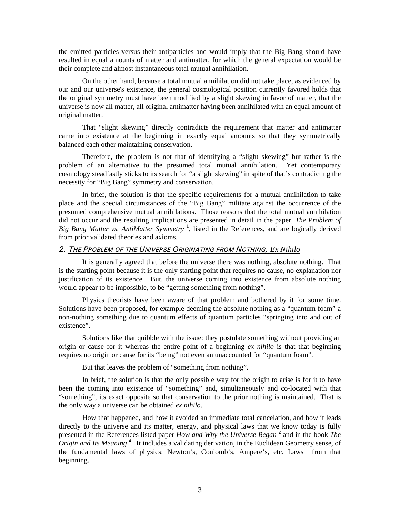the emitted particles versus their antiparticles and would imply that the Big Bang should have resulted in equal amounts of matter and antimatter, for which the general expectation would be their complete and almost instantaneous total mutual annihilation.

 On the other hand, because a total mutual annihilation did not take place, as evidenced by our and our universe's existence, the general cosmological position currently favored holds that the original symmetry must have been modified by a slight skewing in favor of matter, that the universe is now all matter, all original antimatter having been annihilated with an equal amount of original matter.

That "slight skewing" directly contradicts the requirement that matter and antimatter came into existence at the beginning in exactly equal amounts so that they symmetrically balanced each other maintaining conservation.

Therefore, the problem is not that of identifying a "slight skewing" but rather is the problem of an alternative to the presumed total mutual annihilation. Yet contemporary cosmology steadfastly sticks to its search for "a slight skewing" in spite of that's contradicting the necessity for "Big Bang" symmetry and conservation.

In brief, the solution is that the specific requirements for a mutual annihilation to take place and the special circumstances of the "Big Bang" militate against the occurrence of the presumed comprehensive mutual annihilations. Those reasons that the total mutual annihilation did not occur and the resulting implications are presented in detail in the paper, *The Problem of Big Bang Matter vs. AntiMatter Symmetry* **<sup>1</sup>** , listed in the References, and are logically derived from prior validated theories and axioms.

### *2. THE PROBLEM OF THE UNIVERSE ORIGINATING FROM NOTHING, Ex Nihilo*

 It is generally agreed that before the universe there was nothing, absolute nothing. That is the starting point because it is the only starting point that requires no cause, no explanation nor justification of its existence. But, the universe coming into existence from absolute nothing would appear to be impossible, to be "getting something from nothing".

 Physics theorists have been aware of that problem and bothered by it for some time. Solutions have been proposed, for example deeming the absolute nothing as a "quantum foam" a non-nothing something due to quantum effects of quantum particles "springing into and out of existence".

 Solutions like that quibble with the issue: they postulate something without providing an origin or cause for it whereas the entire point of a beginning *ex nihilo* is that that beginning requires no origin or cause for its "being" not even an unaccounted for "quantum foam".

But that leaves the problem of "something from nothing".

 In brief, the solution is that the only possible way for the origin to arise is for it to have been the coming into existence of "something" and, simultaneously and co-located with that "something", its exact opposite so that conservation to the prior nothing is maintained. That is the only way a universe can be obtained *ex nihilo*.

 How that happened, and how it avoided an immediate total cancelation, and how it leads directly to the universe and its matter, energy, and physical laws that we know today is fully presented in the References listed paper *How and Why the Universe Began* **<sup>2</sup>** and in the book *The Origin and Its Meaning* **<sup>4</sup>** . It includes a validating derivation, in the Euclidean Geometry sense, of the fundamental laws of physics: Newton's, Coulomb's, Ampere's, etc. Laws from that beginning.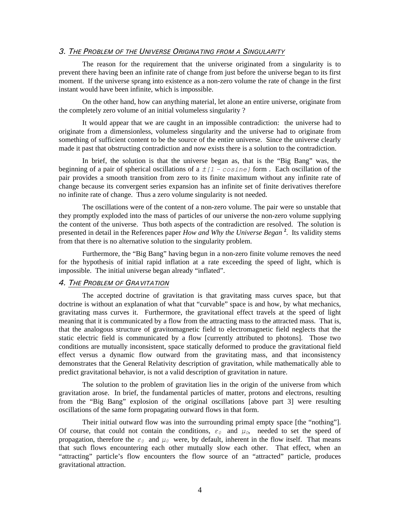#### *3. THE PROBLEM OF THE UNIVERSE ORIGINATING FROM A SINGULARITY*

 The reason for the requirement that the universe originated from a singularity is to prevent there having been an infinite rate of change from just before the universe began to its first moment. If the universe sprang into existence as a non-zero volume the rate of change in the first instant would have been infinite, which is impossible.

 On the other hand, how can anything material, let alone an entire universe, originate from the completely zero volume of an initial volumeless singularity ?

 It would appear that we are caught in an impossible contradiction: the universe had to originate from a dimensionless, volumeless singularity and the universe had to originate from something of sufficient content to be the source of the entire universe. Since the universe clearly made it past that obstructing contradiction and now exists there is a solution to the contradiction.

 In brief, the solution is that the universe began as, that is the "Big Bang" was, the beginning of a pair of spherical oscillations of a  $\pm$ [1 –  $\cos$ ine] form . Each oscillation of the pair provides a smooth transition from zero to its finite maximum without any infinite rate of change because its convergent series expansion has an infinite set of finite derivatives therefore no infinite rate of change. Thus a zero volume singularity is not needed.

 The oscillations were of the content of a non-zero volume. The pair were so unstable that they promptly exploded into the mass of particles of our universe the non-zero volume supplying the content of the universe. Thus both aspects of the contradiction are resolved. The solution is presented in detail in the References paper *How and Why the Universe Began* **<sup>2</sup>** . Its validity stems from that there is no alternative solution to the singularity problem.

 Furthermore, the "Big Bang" having begun in a non-zero finite volume removes the need for the hypothesis of initial rapid inflation at a rate exceeding the speed of light, which is impossible. The initial universe began already "inflated".

#### *4. THE PROBLEM OF GRAVITATION*

 The accepted doctrine of gravitation is that gravitating mass curves space, but that doctrine is without an explanation of what that "curvable" space is and how, by what mechanics, gravitating mass curves it. Furthermore, the gravitational effect travels at the speed of light meaning that it is communicated by a flow from the attracting mass to the attracted mass. That is, that the analogous structure of gravitomagnetic field to electromagnetic field neglects that the static electric field is communicated by a flow [currently attributed to photons]. Those two conditions are mutually inconsistent, space statically deformed to produce the gravitational field effect versus a dynamic flow outward from the gravitating mass, and that inconsistency demonstrates that the General Relativity description of gravitation, while mathematically able to predict gravitational behavior, is not a valid description of gravitation in nature.

The solution to the problem of gravitation lies in the origin of the universe from which gravitation arose. In brief, the fundamental particles of matter, protons and electrons, resulting from the "Big Bang" explosion of the original oscillations [above part 3] were resulting oscillations of the same form propagating outward flows in that form.

Their initial outward flow was into the surrounding primal empty space [the "nothing"]. Of course, that could not contain the conditions,  $\varepsilon$ <sup>0</sup> and  $\mu$ <sup>0</sup>, needed to set the speed of propagation, therefore the  $\varepsilon_0$  and  $\mu_0$  were, by default, inherent in the flow itself. That means that such flows encountering each other mutually slow each other. That effect, when an "attracting" particle's flow encounters the flow source of an "attracted" particle, produces gravitational attraction.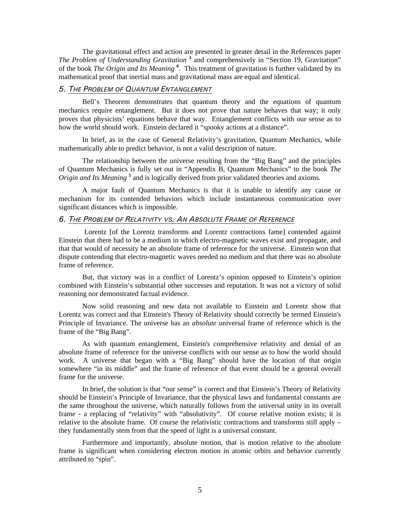The gravitational effect and action are presented in greater detail in the References paper *The Problem of Understanding Gravitation* **<sup>3</sup>** and comprehensively in "Section 19, Gravitation" of the book *The Origin and Its Meaning* **<sup>4</sup>** . This treatment of gravitation is further validated by its mathematical proof that inertial mass and gravitational mass are equal and identical.

### *5. THE PROBLEM OF QUANTUM ENTANGLEMENT*

 Bell's Theorem demonstrates that quantum theory and the equations of quantum mechanics require entanglement. But it does not prove that nature behaves that way; it only proves that physicists' equations behave that way. Entanglement conflicts with our sense as to how the world should work. Einstein declared it "spooky actions at a distance".

 In brief, as in the case of General Relativity's gravitation, Quantum Mechanics, while mathematically able to predict behavior, is not a valid description of nature.

 The relationship between the universe resulting from the "Big Bang" and the principles of Quantum Mechanics is fully set out in "Appendix B, Quantum Mechanics" to the book *The*  Origin and Its Meaning<sup>5</sup> and is logically derived from prior validated theories and axioms.

 A major fault of Quantum Mechanics is that it is unable to identify any cause or mechanism for its contended behaviors which include instantaneous communication over significant distances which is impossible.

#### *6. THE PROBLEM OF RELATIVITY VS. AN ABSOLUTE FRAME OF REFERENCE*

Lorentz [of the Lorentz transforms and Lorentz contractions fame] contended against Einstein that there had to be a medium in which electro-magnetic waves exist and propagate, and that that would of necessity be an absolute frame of reference for the universe. Einstein won that dispute contending that electro-magnetic waves needed no medium and that there was no absolute frame of reference.

But, that victory was in a conflict of Lorentz's opinion opposed to Einstein's opinion combined with Einstein's substantial other successes and reputation. It was not a victory of solid reasoning nor demonstrated factual evidence.

 Now solid reasoning and new data not available to Einstein and Lorentz show that Lorentz was correct and that Einstein's Theory of Relativity should correctly be termed Einstein's Principle of Invariance. The universe has an *absolute* universal frame of reference which is the frame of the "Big Bang".

 As with quantum entanglement, Einstein's comprehensive relativity and denial of an absolute frame of reference for the universe conflicts with our sense as to how the world should work. A universe that began with a "Big Bang" should have the location of that origin somewhere "in its middle" and the frame of reference of that event should be a general overall frame for the universe.

 In brief, the solution is that "our sense" is correct and that Einstein's Theory of Relativity should be Einstein's Principle of Invariance, that the physical laws and fundamental constants are the same throughout the universe, which naturally follows from the universal unity in its overall frame - a replacing of "relativity" with "absolutivity". Of course relative motion exists; it is relative to the absolute frame. Of course the relativistic contractions and transforms still apply – they fundamentally stem from that the speed of light is a universal constant.

 Furthermore and importantly, absolute motion, that is motion relative to the absolute frame is significant when considering electron motion in atomic orbits and behavior currently attributed to "spin".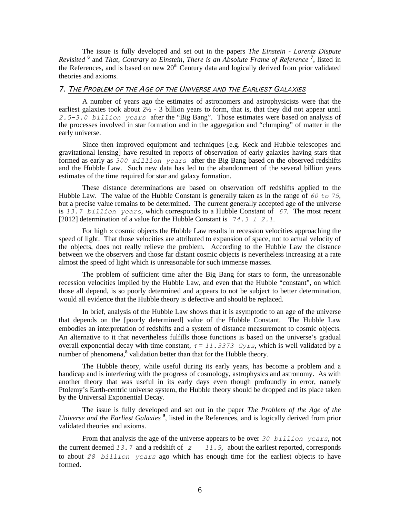The issue is fully developed and set out in the papers *The Einstein - Lorentz Dispute Revisited* **<sup>6</sup>** and *That, Contrary to Einstein, There is an Absolute Frame of Reference* **<sup>7</sup>** , listed in the References, and is based on new  $20<sup>th</sup>$  Century data and logically derived from prior validated theories and axioms.

#### *7. THE PROBLEM OF THE AGE OF THE UNIVERSE AND THE EARLIEST GALAXIES*

 A number of years ago the estimates of astronomers and astrophysicists were that the earliest galaxies took about  $2\frac{1}{2}$  - 3 billion years to form, that is, that they did not appear until *2.5-3.0 billion years* after the "Big Bang". Those estimates were based on analysis of the processes involved in star formation and in the aggregation and "clumping" of matter in the early universe.

 Since then improved equipment and techniques [e.g. Keck and Hubble telescopes and gravitational lensing] have resulted in reports of observation of early galaxies having stars that formed as early as *300 million years* after the Big Bang based on the observed redshifts and the Hubble Law. Such new data has led to the abandonment of the several billion years estimates of the time required for star and galaxy formation.

 These distance determinations are based on observation off redshifts applied to the Hubble Law. The value of the Hubble Constant is generally taken as in the range of *60 to 75*, but a precise value remains to be determined. The current generally accepted age of the universe is *13.7 billion years*, which corresponds to a Hubble Constant of *67*. The most recent [2012] determination of a value for the Hubble Constant is *74.3 ± 2.1*.

 For high *z* cosmic objects the Hubble Law results in recession velocities approaching the speed of light. That those velocities are attributed to expansion of space, not to actual velocity of the objects, does not really relieve the problem. According to the Hubble Law the distance between we the observers and those far distant cosmic objects is nevertheless increasing at a rate almost the speed of light which is unreasonable for such immense masses.

 The problem of sufficient time after the Big Bang for stars to form, the unreasonable recession velocities implied by the Hubble Law, and even that the Hubble "constant", on which those all depend, is so poorly determined and appears to not be subject to better determination, would all evidence that the Hubble theory is defective and should be replaced.

 In brief, analysis of the Hubble Law shows that it is asymptotic to an age of the universe that depends on the [poorly determined] value of the Hubble Constant. The Hubble Law embodies an interpretation of redshifts and a system of distance measurement to cosmic objects. An alternative to it that nevertheless fulfills those functions is based on the universe's gradual overall exponential decay with time constant,  $\tau = 11.3373$  Gyrs, which is well validated by a number of phenomena,<sup>8</sup> validation better than that for the Hubble theory.

The Hubble theory, while useful during its early years, has become a problem and a handicap and is interfering with the progress of cosmology, astrophysics and astronomy. As with another theory that was useful in its early days even though profoundly in error, namely Ptolemy's Earth-centric universe system, the Hubble theory should be dropped and its place taken by the Universal Exponential Decay.

 The issue is fully developed and set out in the paper *The Problem of the Age of the Universe and the Earliest Galaxies* **<sup>9</sup>** , listed in the References, and is logically derived from prior validated theories and axioms.

 From that analysis the age of the universe appears to be over *30 billion years*, not the current deemed 13.7 and a redshift of  $z = 11.9$ , about the earliest reported, corresponds to about *28 billion years* ago which has enough time for the earliest objects to have formed.